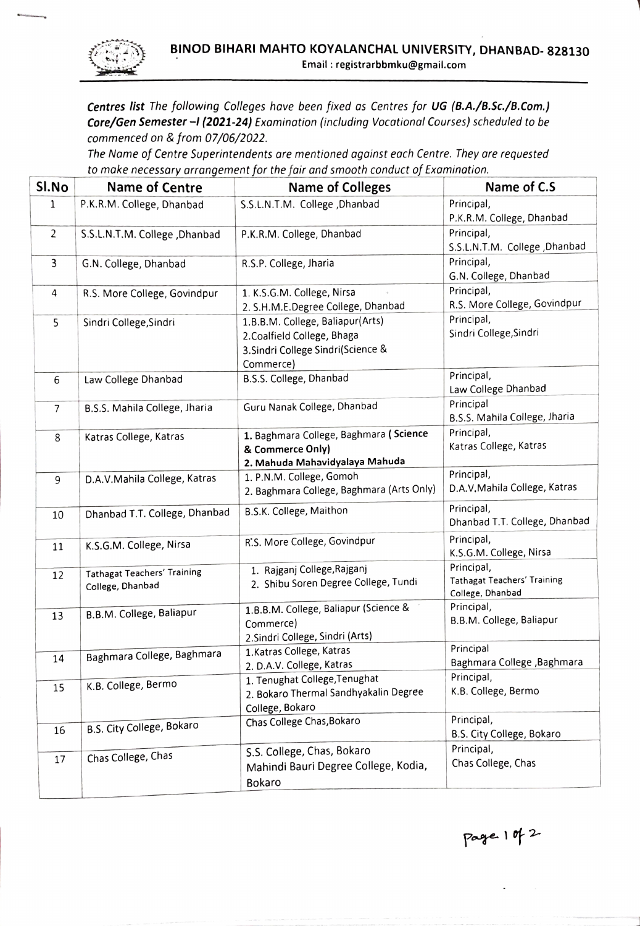

Centres list The following Colleges have been fixed as Centres for UG (B.A./B.Sc./B.Com.) Core/Gen Semester -I (2021-24) Examination (including Vocational Courses) scheduled to be commenced on & from 07/06/2022.

The Name of Centre Superintendents are mentioned against each Centre. They are requested to make necessary arrangement for the fair and smooth conduct of Examination.

| SI.No          | <b>Name of Centre</b>                                  | <b>Name of Colleges</b>                                                                                            | Name of C.S                                                   |
|----------------|--------------------------------------------------------|--------------------------------------------------------------------------------------------------------------------|---------------------------------------------------------------|
| $\mathbf{1}$   | P.K.R.M. College, Dhanbad                              | S.S.L.N.T.M. College , Dhanbad                                                                                     | Principal,<br>P.K.R.M. College, Dhanbad                       |
| $\overline{2}$ | S.S.L.N.T.M. College , Dhanbad                         | P.K.R.M. College, Dhanbad                                                                                          | Principal,<br>S.S.L.N.T.M. College , Dhanbad                  |
| 3              | G.N. College, Dhanbad                                  | R.S.P. College, Jharia                                                                                             | Principal,<br>G.N. College, Dhanbad                           |
| 4              | R.S. More College, Govindpur                           | 1. K.S.G.M. College, Nirsa<br>2. S.H.M.E.Degree College, Dhanbad                                                   | Principal,<br>R.S. More College, Govindpur                    |
| 5              | Sindri College, Sindri                                 | 1.B.B.M. College, Baliapur(Arts)<br>2. Coalfield College, Bhaga<br>3. Sindri College Sindri(Science &<br>Commerce) | Principal,<br>Sindri College, Sindri                          |
| 6              | Law College Dhanbad                                    | B.S.S. College, Dhanbad                                                                                            | Principal,<br>Law College Dhanbad                             |
| $\overline{7}$ | B.S.S. Mahila College, Jharia                          | Guru Nanak College, Dhanbad                                                                                        | Principal<br>B.S.S. Mahila College, Jharia                    |
| 8              | Katras College, Katras                                 | 1. Baghmara College, Baghmara (Science<br>& Commerce Only)<br>2. Mahuda Mahavidyalaya Mahuda                       | Principal,<br>Katras College, Katras                          |
| 9              | D.A.V.Mahila College, Katras                           | 1. P.N.M. College, Gomoh<br>2. Baghmara College, Baghmara (Arts Only)                                              | Principal,<br>D.A.V. Mahila College, Katras                   |
| 10             | Dhanbad T.T. College, Dhanbad                          | B.S.K. College, Maithon                                                                                            | Principal,<br>Dhanbad T.T. College, Dhanbad                   |
| 11             | K.S.G.M. College, Nirsa                                | R.S. More College, Govindpur                                                                                       | Principal,<br>K.S.G.M. College, Nirsa                         |
| 12             | <b>Tathagat Teachers' Training</b><br>College, Dhanbad | 1. Rajganj College, Rajganj<br>2. Shibu Soren Degree College, Tundi                                                | Principal,<br>Tathagat Teachers' Training<br>College, Dhanbad |
| 13             | B.B.M. College, Baliapur                               | 1.B.B.M. College, Baliapur (Science &<br>Commerce)<br>2. Sindri College, Sindri (Arts)                             | Principal,<br>B.B.M. College, Baliapur                        |
| 14             | Baghmara College, Baghmara                             | 1. Katras College, Katras<br>2. D.A.V. College, Katras                                                             | Principal<br>Baghmara College , Baghmara                      |
| 15             | K.B. College, Bermo                                    | 1. Tenughat College, Tenughat<br>2. Bokaro Thermal Sandhyakalin Degree<br>College, Bokaro                          | Principal,<br>K.B. College, Bermo                             |
| 16             | B.S. City College, Bokaro                              | Chas College Chas, Bokaro                                                                                          | Principal,<br>B.S. City College, Bokaro                       |
| 17             | Chas College, Chas                                     | S.S. College, Chas, Bokaro<br>Mahindi Bauri Degree College, Kodia,<br>Bokaro                                       | Principal,<br>Chas College, Chas                              |

 $page 10 | 2$